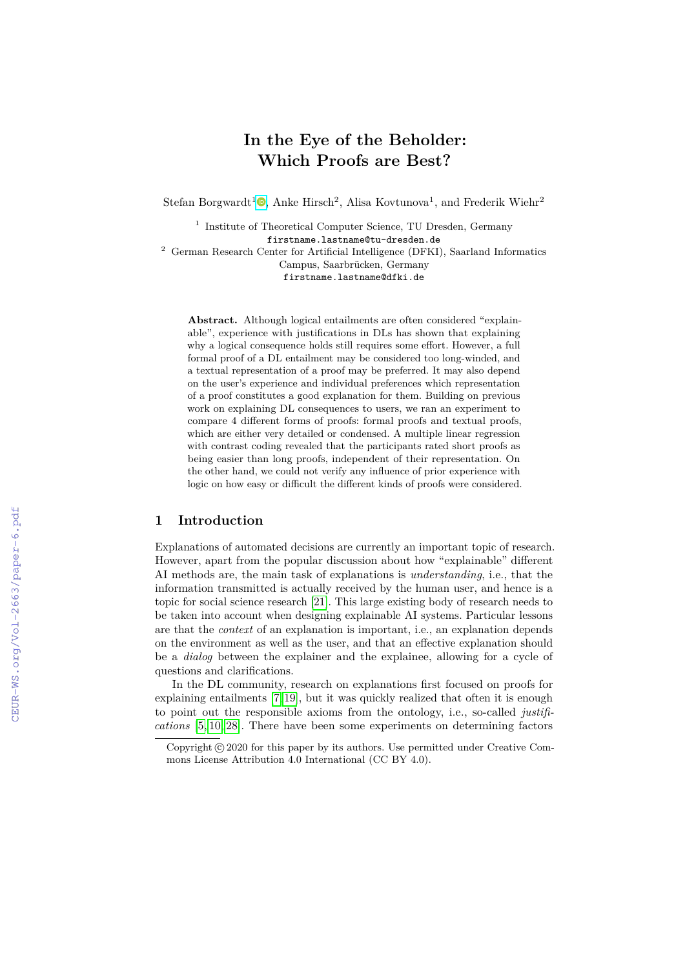# **In the Eye of the Beholder: Which Proofs are Best?**

Stefan Borgwardt<sup>1</sup><sup>®</sup>[,](https://orcid.org/0000-0003-0924-8478) Anke Hirsch<sup>2</sup>, Alisa Kovtunova<sup>1</sup>, and Frederik Wiehr<sup>2</sup>

<sup>1</sup> Institute of Theoretical Computer Science, TU Dresden, Germany firstname.lastname@tu-dresden.de

<sup>2</sup> German Research Center for Artificial Intelligence (DFKI), Saarland Informatics Campus, Saarbrücken, Germany

firstname.lastname@dfki.de

**Abstract.** Although logical entailments are often considered "explainable", experience with justifications in DLs has shown that explaining why a logical consequence holds still requires some effort. However, a full formal proof of a DL entailment may be considered too long-winded, and a textual representation of a proof may be preferred. It may also depend on the user's experience and individual preferences which representation of a proof constitutes a good explanation for them. Building on previous work on explaining DL consequences to users, we ran an experiment to compare 4 different forms of proofs: formal proofs and textual proofs, which are either very detailed or condensed. A multiple linear regression with contrast coding revealed that the participants rated short proofs as being easier than long proofs, independent of their representation. On the other hand, we could not verify any influence of prior experience with logic on how easy or difficult the different kinds of proofs were considered.

## **1 Introduction**

Explanations of automated decisions are currently an important topic of research. However, apart from the popular discussion about how "explainable" different AI methods are, the main task of explanations is *understanding*, i.e., that the information transmitted is actually received by the human user, and hence is a topic for social science research [\[21\]](#page--1-0). This large existing body of research needs to be taken into account when designing explainable AI systems. Particular lessons are that the *context* of an explanation is important, i.e., an explanation depends on the environment as well as the user, and that an effective explanation should be a *dialog* between the explainer and the explainee, allowing for a cycle of questions and clarifications.

In the DL community, research on explanations first focused on proofs for explaining entailments [\[7,](#page--1-1) [19\]](#page--1-2), but it was quickly realized that often it is enough to point out the responsible axioms from the ontology, i.e., so-called *justifications* [\[5,](#page--1-3) [10,](#page--1-4) [28\]](#page--1-5). There have been some experiments on determining factors

Copyright  $\odot$  2020 for this paper by its authors. Use permitted under Creative Commons License Attribution 4.0 International (CC BY 4.0).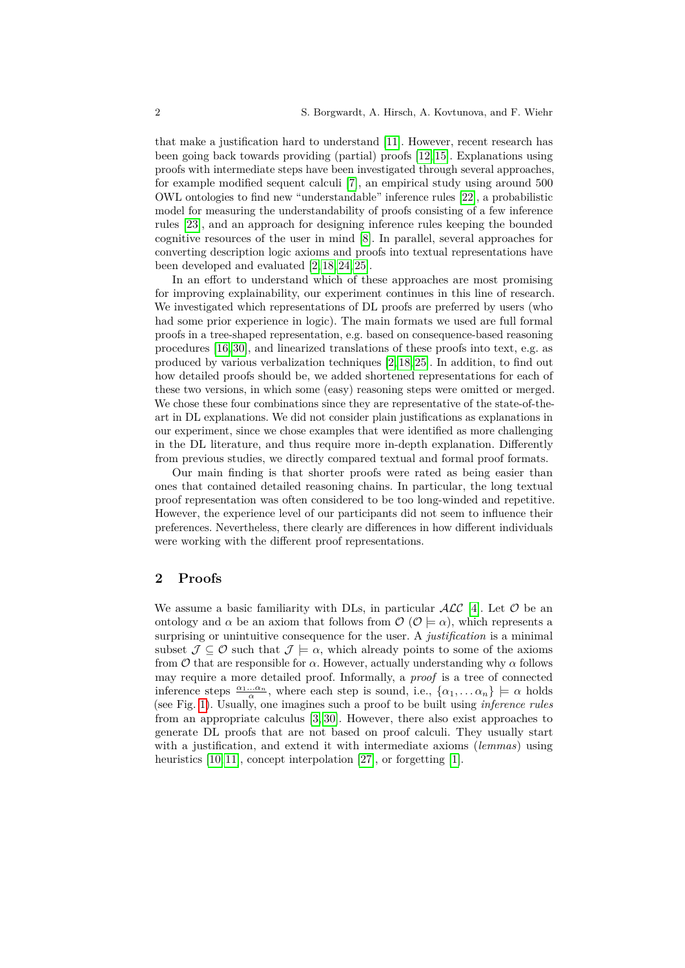that make a justification hard to understand [\[11\]](#page-12-0). However, recent research has been going back towards providing (partial) proofs [\[12,](#page-12-1) [15\]](#page-12-2). Explanations using proofs with intermediate steps have been investigated through several approaches, for example modified sequent calculi [\[7\]](#page-11-0), an empirical study using around 500 OWL ontologies to find new "understandable" inference rules [\[22\]](#page-12-3), a probabilistic model for measuring the understandability of proofs consisting of a few inference rules [\[23\]](#page-12-4), and an approach for designing inference rules keeping the bounded cognitive resources of the user in mind [\[8\]](#page-12-5). In parallel, several approaches for converting description logic axioms and proofs into textual representations have been developed and evaluated [\[2,](#page-11-1) [18,](#page-12-6) [24,](#page-12-7) [25\]](#page-13-0).

In an effort to understand which of these approaches are most promising for improving explainability, our experiment continues in this line of research. We investigated which representations of DL proofs are preferred by users (who had some prior experience in logic). The main formats we used are full formal proofs in a tree-shaped representation, e.g. based on consequence-based reasoning procedures [\[16,](#page-12-8) [30\]](#page-13-1), and linearized translations of these proofs into text, e.g. as produced by various verbalization techniques [\[2,](#page-11-1) [18,](#page-12-6) [25\]](#page-13-0). In addition, to find out how detailed proofs should be, we added shortened representations for each of these two versions, in which some (easy) reasoning steps were omitted or merged. We chose these four combinations since they are representative of the state-of-theart in DL explanations. We did not consider plain justifications as explanations in our experiment, since we chose examples that were identified as more challenging in the DL literature, and thus require more in-depth explanation. Differently from previous studies, we directly compared textual and formal proof formats.

Our main finding is that shorter proofs were rated as being easier than ones that contained detailed reasoning chains. In particular, the long textual proof representation was often considered to be too long-winded and repetitive. However, the experience level of our participants did not seem to influence their preferences. Nevertheless, there clearly are differences in how different individuals were working with the different proof representations.

#### **2 Proofs**

We assume a basic familiarity with DLs, in particular  $\cal{ALC}$  [\[4\]](#page-11-2). Let  $\cal{O}$  be an ontology and  $\alpha$  be an axiom that follows from  $\mathcal{O}$  ( $\mathcal{O} \models \alpha$ ), which represents a surprising or unintuitive consequence for the user. A *justification* is a minimal subset  $\mathcal{J} \subseteq \mathcal{O}$  such that  $\mathcal{J} \models \alpha$ , which already points to some of the axioms from  $\mathcal O$  that are responsible for  $\alpha$ . However, actually understanding why  $\alpha$  follows may require a more detailed proof. Informally, a *proof* is a tree of connected inference steps  $\frac{\alpha_1 \dots \alpha_n}{\alpha}$ , where each step is sound, i.e.,  $\{\alpha_1, \dots \alpha_n\} \models \alpha$  holds (see Fig. [1\)](#page-2-0). Usually, one imagines such a proof to be built using *inference rules* from an appropriate calculus [\[3,](#page-11-3) [30\]](#page-13-1). However, there also exist approaches to generate DL proofs that are not based on proof calculi. They usually start with a justification, and extend it with intermediate axioms (*lemmas*) using heuristics [\[10,](#page-12-9) [11\]](#page-12-0), concept interpolation [\[27\]](#page-13-2), or forgetting [\[1\]](#page-11-4).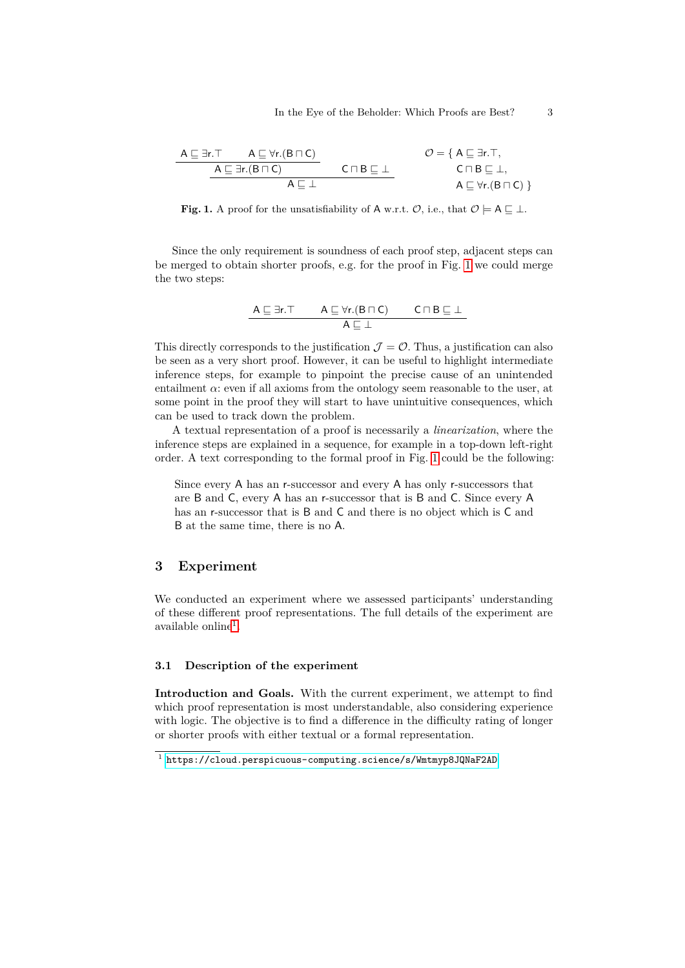| $A \sqsubseteq \exists r. T$           | $A \sqsubseteq \forall r.(B \sqcap C)$ | $O = \{ A \sqsubseteq \exists r. T,$      |
|----------------------------------------|----------------------------------------|-------------------------------------------|
| $A \sqsubseteq \exists r.(B \sqcap C)$ | $C \sqcap B \sqsubseteq \bot$          | $O = \{ A \sqsubseteq \exists r. T,$      |
| $A \sqsubseteq \exists r.(B \sqcap C)$ | $C \sqcap B \sqsubseteq \bot$          | $A \sqsubseteq \forall r.(B \sqcap C) \}$ |

<span id="page-2-0"></span>**Fig. 1.** A proof for the unsatisfiability of A w.r.t.  $\mathcal{O}$ , i.e., that  $\mathcal{O} \models A \sqsubset \bot$ .

Since the only requirement is soundness of each proof step, adjacent steps can be merged to obtain shorter proofs, e.g. for the proof in Fig. [1](#page-2-0) we could merge the two steps:

$$
\cfrac{A \sqsubseteq \exists r. \top \qquad A \sqsubseteq \forall r.(B \sqcap C) \qquad C \sqcap B \sqsubseteq \bot}{A \sqsubseteq \bot}
$$

This directly corresponds to the justification  $\mathcal{J} = \mathcal{O}$ . Thus, a justification can also be seen as a very short proof. However, it can be useful to highlight intermediate inference steps, for example to pinpoint the precise cause of an unintended entailment  $\alpha$ : even if all axioms from the ontology seem reasonable to the user, at some point in the proof they will start to have unintuitive consequences, which can be used to track down the problem.

A textual representation of a proof is necessarily a *linearization*, where the inference steps are explained in a sequence, for example in a top-down left-right order. A text corresponding to the formal proof in Fig. [1](#page-2-0) could be the following:

Since every A has an r-successor and every A has only r-successors that are B and C, every A has an r-successor that is B and C. Since every A has an r-successor that is B and C and there is no object which is C and B at the same time, there is no A.

## **3 Experiment**

We conducted an experiment where we assessed participants' understanding of these different proof representations. The full details of the experiment are available online<sup>[1](#page-2-1)</sup>.

#### **3.1 Description of the experiment**

**Introduction and Goals.** With the current experiment, we attempt to find which proof representation is most understandable, also considering experience with logic. The objective is to find a difference in the difficulty rating of longer or shorter proofs with either textual or a formal representation.

<span id="page-2-1"></span><sup>1</sup> <https://cloud.perspicuous-computing.science/s/Wmtmyp8JQNaF2AD>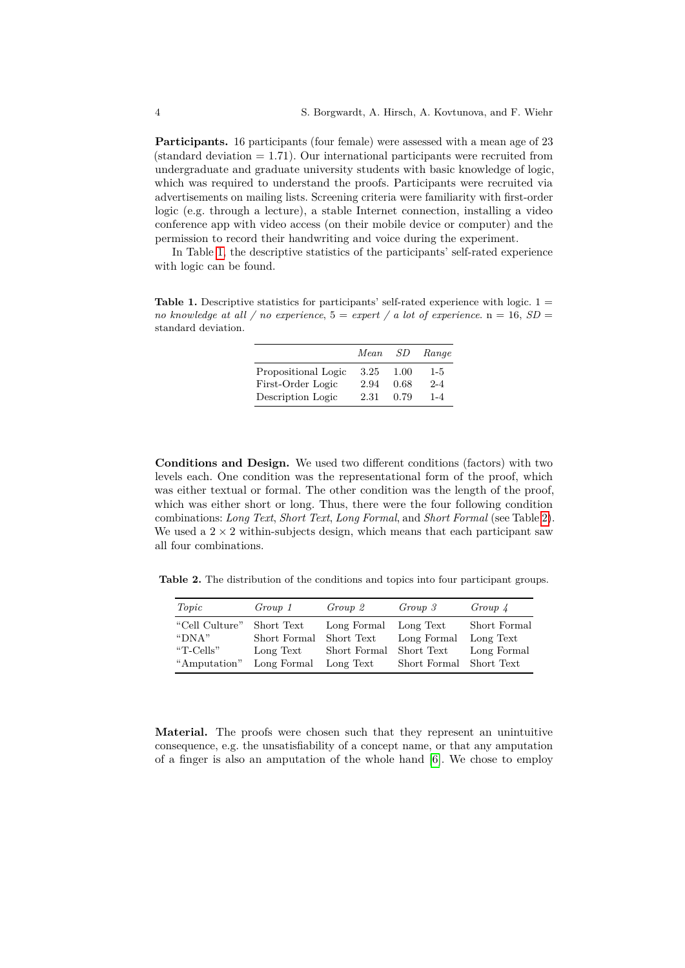Participants. 16 participants (four female) were assessed with a mean age of 23  $(\text{standard deviation} = 1.71)$ . Our international participants were recruited from undergraduate and graduate university students with basic knowledge of logic, which was required to understand the proofs. Participants were recruited via advertisements on mailing lists. Screening criteria were familiarity with first-order logic (e.g. through a lecture), a stable Internet connection, installing a video conference app with video access (on their mobile device or computer) and the permission to record their handwriting and voice during the experiment.

In Table [1,](#page-3-0) the descriptive statistics of the participants' self-rated experience with logic can be found.

<span id="page-3-0"></span>**Table 1.** Descriptive statistics for participants' self-rated experience with logic. 1 = *no knowledge at all / no experience*,  $5 =$  *expert / a lot of experience*.  $n = 16$ ,  $SD =$ standard deviation.

|                                          | Mean         | -SD          | Range              |
|------------------------------------------|--------------|--------------|--------------------|
| Propositional Logic<br>First-Order Logic | 3.25<br>2.94 | 1.00<br>0.68 | $1 - 5$<br>$2 - 4$ |
| Description Logic                        | 2.31         | 0.79         | $1 - 4$            |

**Conditions and Design.** We used two different conditions (factors) with two levels each. One condition was the representational form of the proof, which was either textual or formal. The other condition was the length of the proof, which was either short or long. Thus, there were the four following condition combinations: *Long Text*, *Short Text*, *Long Formal*, and *Short Formal* (see Table [2\)](#page-3-1). We used a  $2 \times 2$  within-subjects design, which means that each participant saw all four combinations.

**Table 2.** The distribution of the conditions and topics into four participant groups.

<span id="page-3-1"></span>

| Topic          | Group 1      | Group 2      | Group 3                 | $Group\;4$   |
|----------------|--------------|--------------|-------------------------|--------------|
| "Cell Culture" | Short Text   | Long Formal  | Long Text               | Short Formal |
| " $DNA"$       | Short Formal | Short Text   | Long Formal             | Long Text    |
| "T-Cells"      | Long Text    | Short Formal | Short Text              | Long Formal  |
| "Amputation"   | Long Formal  | Long Text    | Short Formal Short Text |              |

**Material.** The proofs were chosen such that they represent an unintuitive consequence, e.g. the unsatisfiability of a concept name, or that any amputation of a finger is also an amputation of the whole hand [\[6\]](#page-11-5). We chose to employ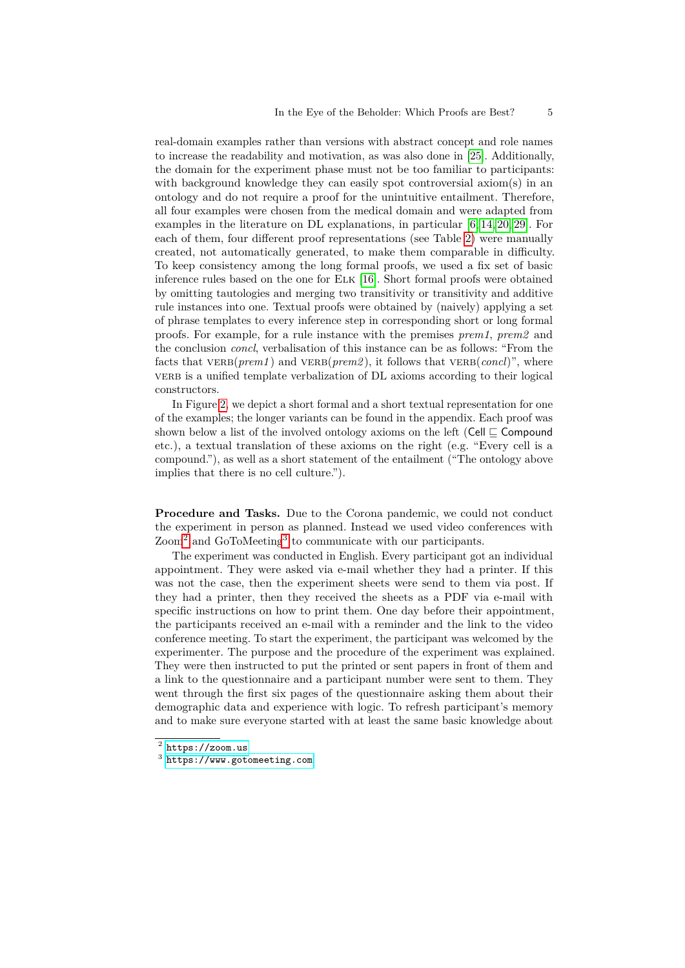real-domain examples rather than versions with abstract concept and role names to increase the readability and motivation, as was also done in [\[25\]](#page-13-0). Additionally, the domain for the experiment phase must not be too familiar to participants: with background knowledge they can easily spot controversial axiom(s) in an ontology and do not require a proof for the unintuitive entailment. Therefore, all four examples were chosen from the medical domain and were adapted from examples in the literature on DL explanations, in particular [\[6,](#page-11-5) [14,](#page-12-10) [20,](#page-12-11) [29\]](#page-13-3). For each of them, four different proof representations (see Table [2\)](#page-3-1) were manually created, not automatically generated, to make them comparable in difficulty. To keep consistency among the long formal proofs, we used a fix set of basic inference rules based on the one for Elk [\[16\]](#page-12-8). Short formal proofs were obtained by omitting tautologies and merging two transitivity or transitivity and additive rule instances into one. Textual proofs were obtained by (naively) applying a set of phrase templates to every inference step in corresponding short or long formal proofs. For example, for a rule instance with the premises *prem1*, *prem2* and the conclusion *concl*, verbalisation of this instance can be as follows: "From the facts that  $VERB(prem1)$  and  $VERB(prem2)$ , it follows that  $VERB(concl)$ ", where verb is a unified template verbalization of DL axioms according to their logical constructors.

In Figure [2,](#page-5-0) we depict a short formal and a short textual representation for one of the examples; the longer variants can be found in the appendix. Each proof was shown below a list of the involved ontology axioms on the left (Cell  $\sqsubset$  Compound etc.), a textual translation of these axioms on the right (e.g. "Every cell is a compound."), as well as a short statement of the entailment ("The ontology above implies that there is no cell culture.").

**Procedure and Tasks.** Due to the Corona pandemic, we could not conduct the experiment in person as planned. Instead we used video conferences with Zoom<sup>[2](#page-4-0)</sup> and GoToMeeting<sup>[3](#page-4-1)</sup> to communicate with our participants.

The experiment was conducted in English. Every participant got an individual appointment. They were asked via e-mail whether they had a printer. If this was not the case, then the experiment sheets were send to them via post. If they had a printer, then they received the sheets as a PDF via e-mail with specific instructions on how to print them. One day before their appointment, the participants received an e-mail with a reminder and the link to the video conference meeting. To start the experiment, the participant was welcomed by the experimenter. The purpose and the procedure of the experiment was explained. They were then instructed to put the printed or sent papers in front of them and a link to the questionnaire and a participant number were sent to them. They went through the first six pages of the questionnaire asking them about their demographic data and experience with logic. To refresh participant's memory and to make sure everyone started with at least the same basic knowledge about

<span id="page-4-0"></span> $^2$  <https://zoom.us>

<span id="page-4-1"></span><sup>3</sup> <https://www.gotomeeting.com>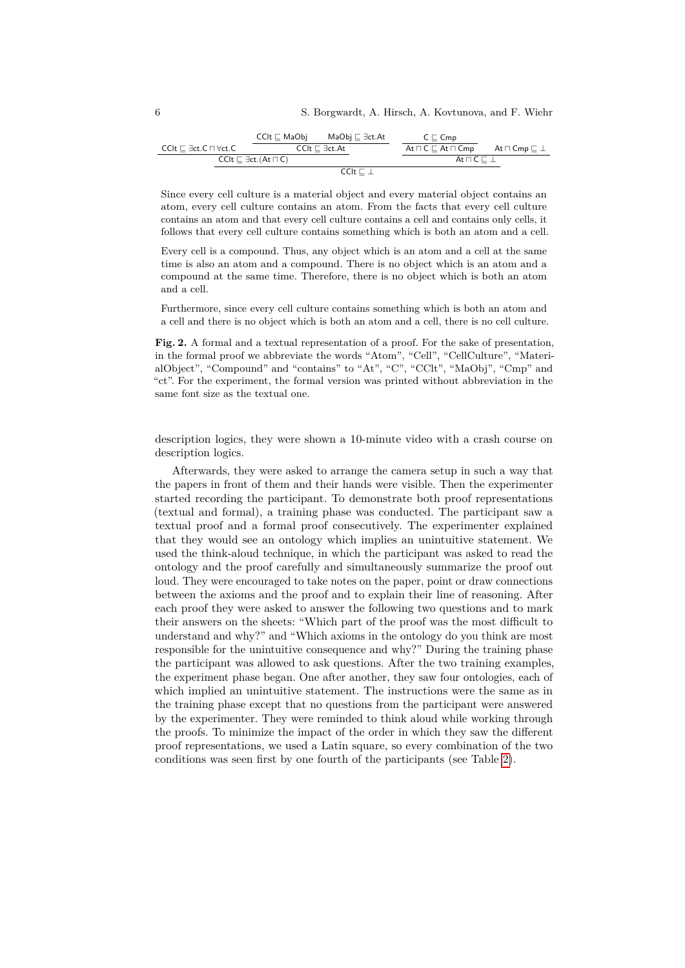|                                                   |  | $CClt \sqsubset MaObj$ | MaObi ⊏ ∃ct.At                      | $C \sqsubset Cmp$                     |                                  |
|---------------------------------------------------|--|------------------------|-------------------------------------|---------------------------------------|----------------------------------|
| $CClt \sqsubset \exists ct.C \sqcap \forall ct.C$ |  |                        | $CClt \sqsubset \exists ct.At$      | $At \sqcap C \sqsubset At \sqcap Cmb$ | At $\sqcap$ Cmp $\sqsubset \bot$ |
| $CClt \sqsubset \exists ct. (At \sqcap C)$        |  |                        | At $\sqcap$ C $\sqsubseteq$ $\perp$ |                                       |                                  |
| $CClt \sqsubset \bot$                             |  |                        |                                     |                                       |                                  |

Since every cell culture is a material object and every material object contains an atom, every cell culture contains an atom. From the facts that every cell culture contains an atom and that every cell culture contains a cell and contains only cells, it follows that every cell culture contains something which is both an atom and a cell.

Every cell is a compound. Thus, any object which is an atom and a cell at the same time is also an atom and a compound. There is no object which is an atom and a compound at the same time. Therefore, there is no object which is both an atom and a cell.

Furthermore, since every cell culture contains something which is both an atom and a cell and there is no object which is both an atom and a cell, there is no cell culture.

<span id="page-5-0"></span>**Fig. 2.** A formal and a textual representation of a proof. For the sake of presentation, in the formal proof we abbreviate the words "Atom", "Cell", "CellCulture", "MaterialObject", "Compound" and "contains" to "At", "C", "CClt", "MaObj", "Cmp" and "ct". For the experiment, the formal version was printed without abbreviation in the same font size as the textual one.

description logics, they were shown a 10-minute video with a crash course on description logics.

Afterwards, they were asked to arrange the camera setup in such a way that the papers in front of them and their hands were visible. Then the experimenter started recording the participant. To demonstrate both proof representations (textual and formal), a training phase was conducted. The participant saw a textual proof and a formal proof consecutively. The experimenter explained that they would see an ontology which implies an unintuitive statement. We used the think-aloud technique, in which the participant was asked to read the ontology and the proof carefully and simultaneously summarize the proof out loud. They were encouraged to take notes on the paper, point or draw connections between the axioms and the proof and to explain their line of reasoning. After each proof they were asked to answer the following two questions and to mark their answers on the sheets: "Which part of the proof was the most difficult to understand and why?" and "Which axioms in the ontology do you think are most responsible for the unintuitive consequence and why?" During the training phase the participant was allowed to ask questions. After the two training examples, the experiment phase began. One after another, they saw four ontologies, each of which implied an unintuitive statement. The instructions were the same as in the training phase except that no questions from the participant were answered by the experimenter. They were reminded to think aloud while working through the proofs. To minimize the impact of the order in which they saw the different proof representations, we used a Latin square, so every combination of the two conditions was seen first by one fourth of the participants (see Table [2\)](#page-3-1).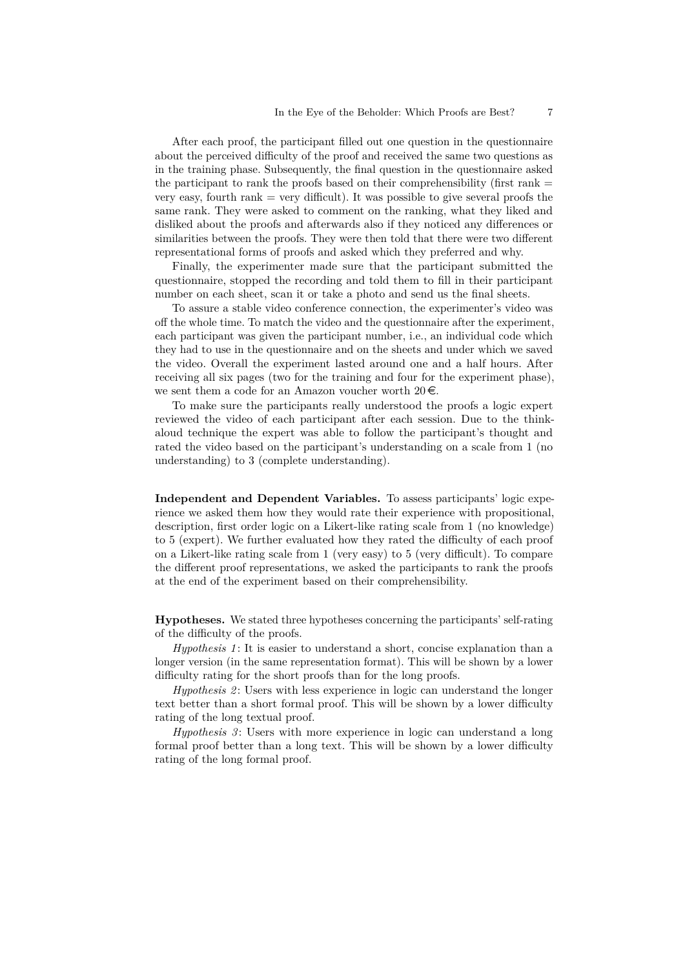After each proof, the participant filled out one question in the questionnaire about the perceived difficulty of the proof and received the same two questions as in the training phase. Subsequently, the final question in the questionnaire asked the participant to rank the proofs based on their comprehensibility (first rank  $=$ very easy, fourth rank  $=$  very difficult). It was possible to give several proofs the same rank. They were asked to comment on the ranking, what they liked and disliked about the proofs and afterwards also if they noticed any differences or similarities between the proofs. They were then told that there were two different representational forms of proofs and asked which they preferred and why.

Finally, the experimenter made sure that the participant submitted the questionnaire, stopped the recording and told them to fill in their participant number on each sheet, scan it or take a photo and send us the final sheets.

To assure a stable video conference connection, the experimenter's video was off the whole time. To match the video and the questionnaire after the experiment, each participant was given the participant number, i.e., an individual code which they had to use in the questionnaire and on the sheets and under which we saved the video. Overall the experiment lasted around one and a half hours. After receiving all six pages (two for the training and four for the experiment phase), we sent them a code for an Amazon voucher worth  $20 \in$ .

To make sure the participants really understood the proofs a logic expert reviewed the video of each participant after each session. Due to the thinkaloud technique the expert was able to follow the participant's thought and rated the video based on the participant's understanding on a scale from 1 (no understanding) to 3 (complete understanding).

**Independent and Dependent Variables.** To assess participants' logic experience we asked them how they would rate their experience with propositional, description, first order logic on a Likert-like rating scale from 1 (no knowledge) to 5 (expert). We further evaluated how they rated the difficulty of each proof on a Likert-like rating scale from 1 (very easy) to 5 (very difficult). To compare the different proof representations, we asked the participants to rank the proofs at the end of the experiment based on their comprehensibility.

**Hypotheses.** We stated three hypotheses concerning the participants' self-rating of the difficulty of the proofs.

*Hypothesis 1* : It is easier to understand a short, concise explanation than a longer version (in the same representation format). This will be shown by a lower difficulty rating for the short proofs than for the long proofs.

*Hypothesis 2* : Users with less experience in logic can understand the longer text better than a short formal proof. This will be shown by a lower difficulty rating of the long textual proof.

*Hypothesis 3*: Users with more experience in logic can understand a long formal proof better than a long text. This will be shown by a lower difficulty rating of the long formal proof.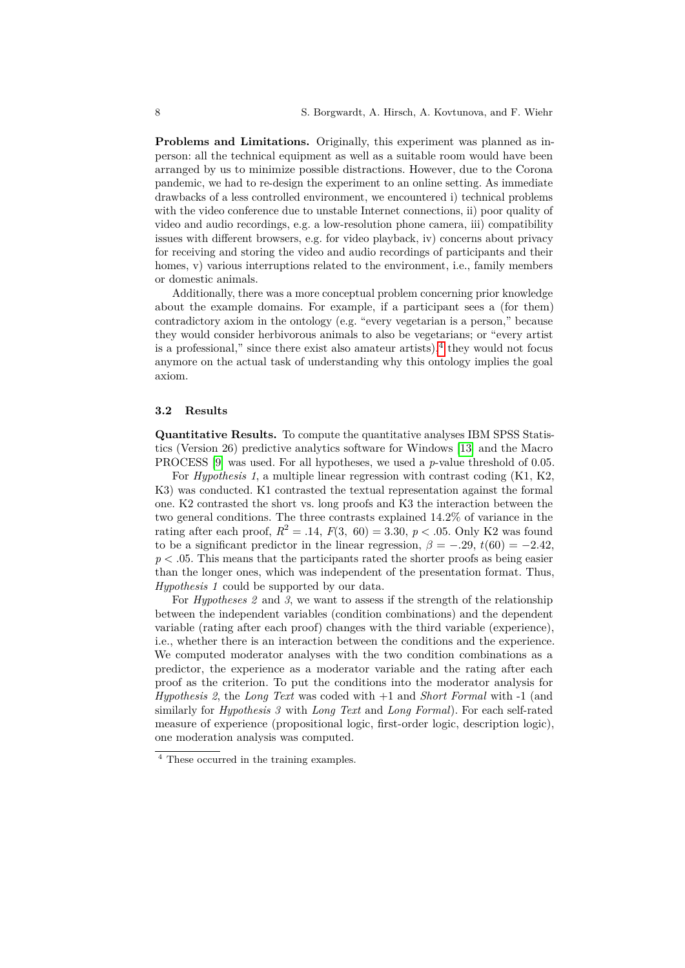**Problems and Limitations.** Originally, this experiment was planned as inperson: all the technical equipment as well as a suitable room would have been arranged by us to minimize possible distractions. However, due to the Corona pandemic, we had to re-design the experiment to an online setting. As immediate drawbacks of a less controlled environment, we encountered i) technical problems with the video conference due to unstable Internet connections, ii) poor quality of video and audio recordings, e.g. a low-resolution phone camera, iii) compatibility issues with different browsers, e.g. for video playback, iv) concerns about privacy for receiving and storing the video and audio recordings of participants and their homes, v) various interruptions related to the environment, i.e., family members or domestic animals.

Additionally, there was a more conceptual problem concerning prior knowledge about the example domains. For example, if a participant sees a (for them) contradictory axiom in the ontology (e.g. "every vegetarian is a person," because they would consider herbivorous animals to also be vegetarians; or "every artist is a professional," since there exist also amateur artists), $4$  they would not focus anymore on the actual task of understanding why this ontology implies the goal axiom.

#### **3.2 Results**

**Quantitative Results.** To compute the quantitative analyses IBM SPSS Statistics (Version 26) predictive analytics software for Windows [\[13\]](#page-12-12) and the Macro PROCESS [\[9\]](#page-12-13) was used. For all hypotheses, we used a *p*-value threshold of 0.05.

For *Hypothesis 1*, a multiple linear regression with contrast coding (K1, K2, K3) was conducted. K1 contrasted the textual representation against the formal one. K2 contrasted the short vs. long proofs and K3 the interaction between the two general conditions. The three contrasts explained 14.2% of variance in the rating after each proof,  $R^2 = .14$ ,  $F(3, 60) = 3.30$ ,  $p < .05$ . Only K2 was found to be a significant predictor in the linear regression,  $\beta = -.29$ ,  $t(60) = -2.42$ ,  $p < .05$ . This means that the participants rated the shorter proofs as being easier than the longer ones, which was independent of the presentation format. Thus, *Hypothesis 1* could be supported by our data.

For *Hypotheses 2* and *3*, we want to assess if the strength of the relationship between the independent variables (condition combinations) and the dependent variable (rating after each proof) changes with the third variable (experience), i.e., whether there is an interaction between the conditions and the experience. We computed moderator analyses with the two condition combinations as a predictor, the experience as a moderator variable and the rating after each proof as the criterion. To put the conditions into the moderator analysis for *Hypothesis 2*, the *Long Text* was coded with +1 and *Short Formal* with -1 (and similarly for *Hypothesis 3* with *Long Text* and *Long Formal*). For each self-rated measure of experience (propositional logic, first-order logic, description logic), one moderation analysis was computed.

<span id="page-7-0"></span><sup>4</sup> These occurred in the training examples.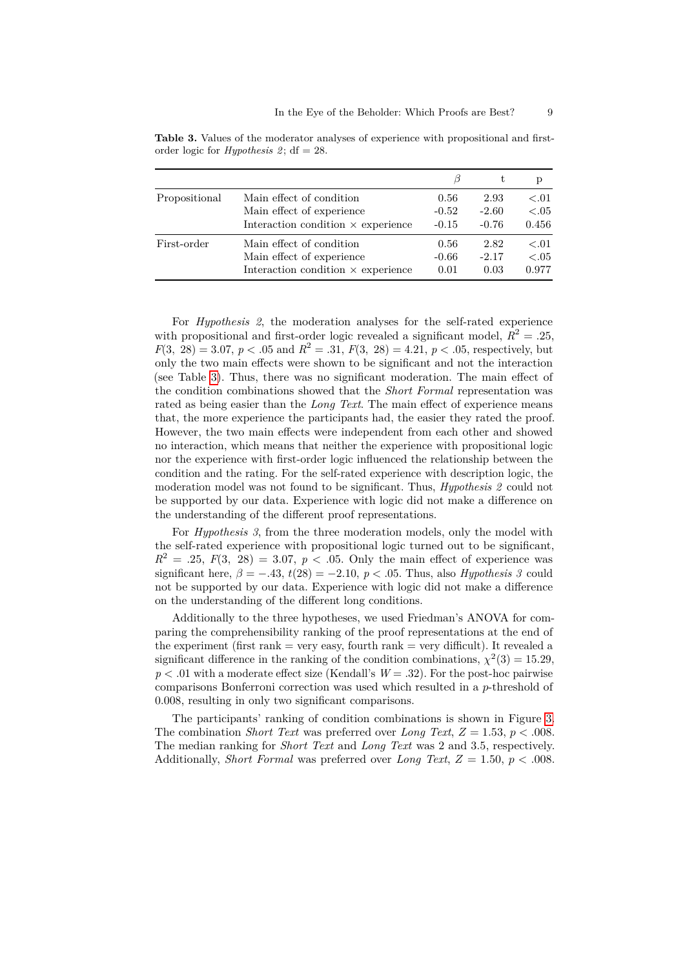<span id="page-8-0"></span>**Table 3.** Values of the moderator analyses of experience with propositional and firstorder logic for  $Hypothesis$  2; df = 28.

|               |                                           |         | t.      |        |
|---------------|-------------------------------------------|---------|---------|--------|
| Propositional | Main effect of condition                  | 0.56    | 2.93    | $-.01$ |
|               | Main effect of experience                 | $-0.52$ | $-2.60$ | $-.05$ |
|               | Interaction condition $\times$ experience | $-0.15$ | $-0.76$ | 0.456  |
| First-order   | Main effect of condition                  | 0.56    | 2.82    | $-.01$ |
|               | Main effect of experience                 | $-0.66$ | $-2.17$ | < .05  |
|               | Interaction condition $\times$ experience | 0.01    | 0.03    | 0.977  |

For *Hypothesis 2*, the moderation analyses for the self-rated experience with propositional and first-order logic revealed a significant model,  $R^2 = .25$ ,  $F(3, 28) = 3.07, p < .05$  and  $R^2 = .31, F(3, 28) = 4.21, p < .05$ , respectively, but only the two main effects were shown to be significant and not the interaction (see Table [3\)](#page-8-0). Thus, there was no significant moderation. The main effect of the condition combinations showed that the *Short Formal* representation was rated as being easier than the *Long Text*. The main effect of experience means that, the more experience the participants had, the easier they rated the proof. However, the two main effects were independent from each other and showed no interaction, which means that neither the experience with propositional logic nor the experience with first-order logic influenced the relationship between the condition and the rating. For the self-rated experience with description logic, the moderation model was not found to be significant. Thus, *Hypothesis 2* could not be supported by our data. Experience with logic did not make a difference on the understanding of the different proof representations.

For *Hypothesis 3*, from the three moderation models, only the model with the self-rated experience with propositional logic turned out to be significant,  $R^2 = .25, F(3, 28) = 3.07, p < .05$ . Only the main effect of experience was significant here,  $\beta = -.43$ ,  $t(28) = -2.10$ ,  $p < .05$ . Thus, also *Hypothesis 3* could not be supported by our data. Experience with logic did not make a difference on the understanding of the different long conditions.

Additionally to the three hypotheses, we used Friedman's ANOVA for comparing the comprehensibility ranking of the proof representations at the end of the experiment (first rank  $=$  very easy, fourth rank  $=$  very difficult). It revealed a significant difference in the ranking of the condition combinations,  $\chi^2(3) = 15.29$ ,  $p < .01$  with a moderate effect size (Kendall's  $W = .32$ ). For the post-hoc pairwise comparisons Bonferroni correction was used which resulted in a *p*-threshold of 0*.*008, resulting in only two significant comparisons.

The participants' ranking of condition combinations is shown in Figure [3.](#page-9-0) The combination *Short Text* was preferred over *Long Text*, *Z* = 1*.*53, *p < .*008. The median ranking for *Short Text* and *Long Text* was 2 and 3.5, respectively. Additionally, *Short Formal* was preferred over *Long Text*,  $Z = 1.50$ ,  $p < .008$ .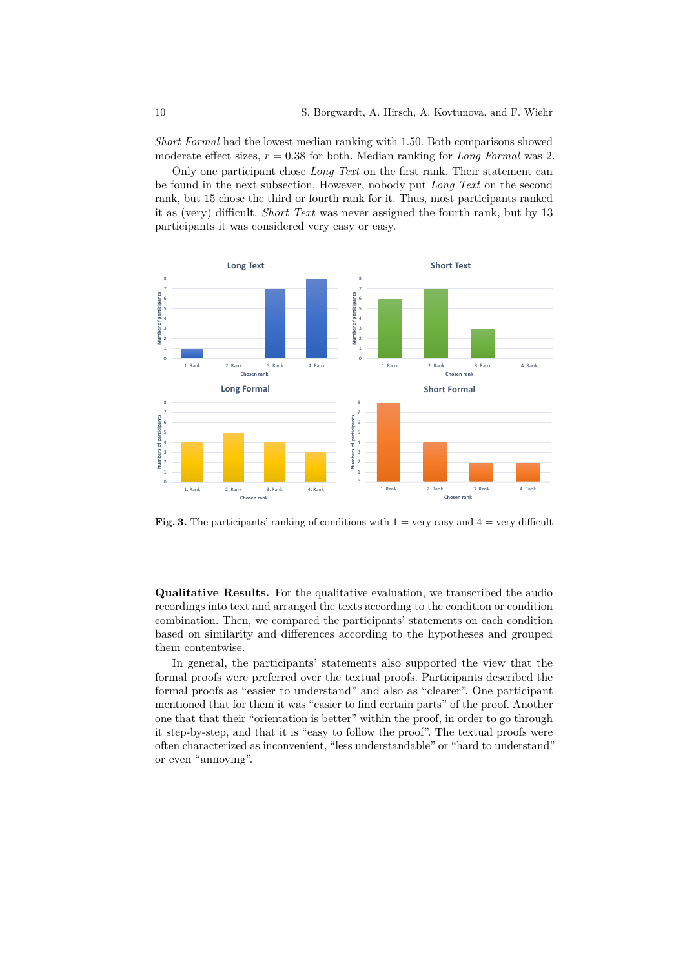*Short Formal* had the lowest median ranking with 1.50. Both comparisons showed moderate effect sizes, *r* = 0*.*38 for both. Median ranking for *Long Formal* was 2.

Only one participant chose *Long Text* on the first rank. Their statement can be found in the next subsection. However, nobody put *Long Text* on the second rank, but 15 chose the third or fourth rank for it. Thus, most participants ranked it as (very) difficult. *Short Text* was never assigned the fourth rank, but by 13 participants it was considered very easy or easy.



<span id="page-9-0"></span>**Fig. 3.** The participants' ranking of conditions with  $1 = \text{very easy}$  and  $4 = \text{very}$  difficult

**Qualitative Results.** For the qualitative evaluation, we transcribed the audio recordings into text and arranged the texts according to the condition or condition combination. Then, we compared the participants' statements on each condition based on similarity and differences according to the hypotheses and grouped them contentwise.

In general, the participants' statements also supported the view that the formal proofs were preferred over the textual proofs. Participants described the formal proofs as "easier to understand" and also as "clearer". One participant mentioned that for them it was "easier to find certain parts" of the proof. Another one that that their "orientation is better" within the proof, in order to go through it step-by-step, and that it is "easy to follow the proof". The textual proofs were often characterized as inconvenient, "less understandable" or "hard to understand" or even "annoying".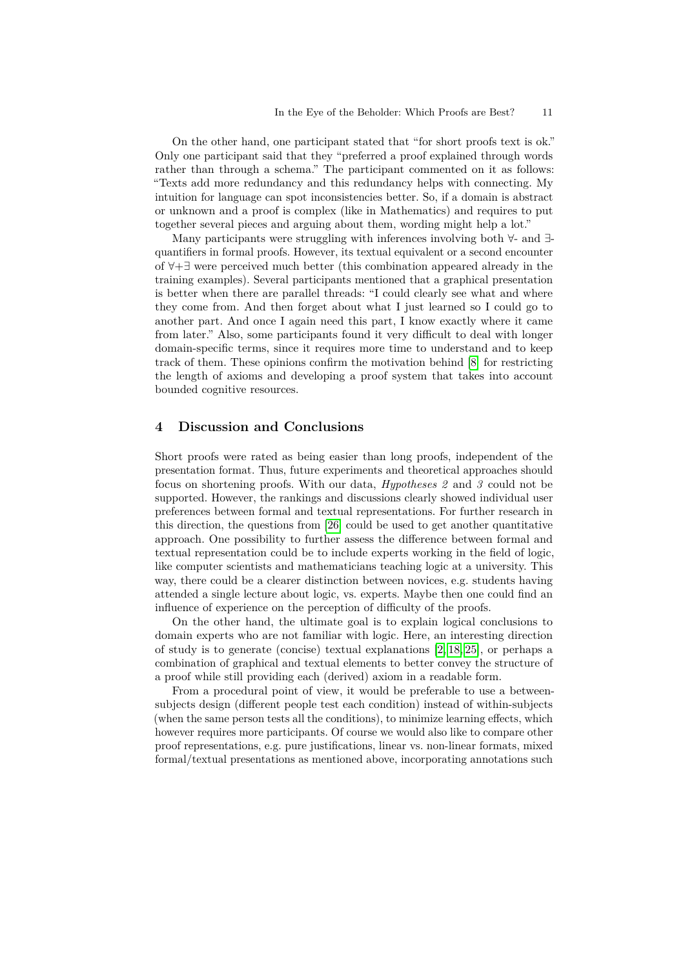On the other hand, one participant stated that "for short proofs text is ok." Only one participant said that they "preferred a proof explained through words rather than through a schema." The participant commented on it as follows: "Texts add more redundancy and this redundancy helps with connecting. My intuition for language can spot inconsistencies better. So, if a domain is abstract or unknown and a proof is complex (like in Mathematics) and requires to put together several pieces and arguing about them, wording might help a lot."

Many participants were struggling with inferences involving both ∀- and ∃ quantifiers in formal proofs. However, its textual equivalent or a second encounter of ∀+∃ were perceived much better (this combination appeared already in the training examples). Several participants mentioned that a graphical presentation is better when there are parallel threads: "I could clearly see what and where they come from. And then forget about what I just learned so I could go to another part. And once I again need this part, I know exactly where it came from later." Also, some participants found it very difficult to deal with longer domain-specific terms, since it requires more time to understand and to keep track of them. These opinions confirm the motivation behind [\[8\]](#page-12-5) for restricting the length of axioms and developing a proof system that takes into account bounded cognitive resources.

## **4 Discussion and Conclusions**

Short proofs were rated as being easier than long proofs, independent of the presentation format. Thus, future experiments and theoretical approaches should focus on shortening proofs. With our data, *Hypotheses 2* and *3* could not be supported. However, the rankings and discussions clearly showed individual user preferences between formal and textual representations. For further research in this direction, the questions from [\[26\]](#page-13-4) could be used to get another quantitative approach. One possibility to further assess the difference between formal and textual representation could be to include experts working in the field of logic, like computer scientists and mathematicians teaching logic at a university. This way, there could be a clearer distinction between novices, e.g. students having attended a single lecture about logic, vs. experts. Maybe then one could find an influence of experience on the perception of difficulty of the proofs.

On the other hand, the ultimate goal is to explain logical conclusions to domain experts who are not familiar with logic. Here, an interesting direction of study is to generate (concise) textual explanations [\[2,](#page-11-1) [18,](#page-12-6) [25\]](#page-13-0), or perhaps a combination of graphical and textual elements to better convey the structure of a proof while still providing each (derived) axiom in a readable form.

From a procedural point of view, it would be preferable to use a betweensubjects design (different people test each condition) instead of within-subjects (when the same person tests all the conditions), to minimize learning effects, which however requires more participants. Of course we would also like to compare other proof representations, e.g. pure justifications, linear vs. non-linear formats, mixed formal/textual presentations as mentioned above, incorporating annotations such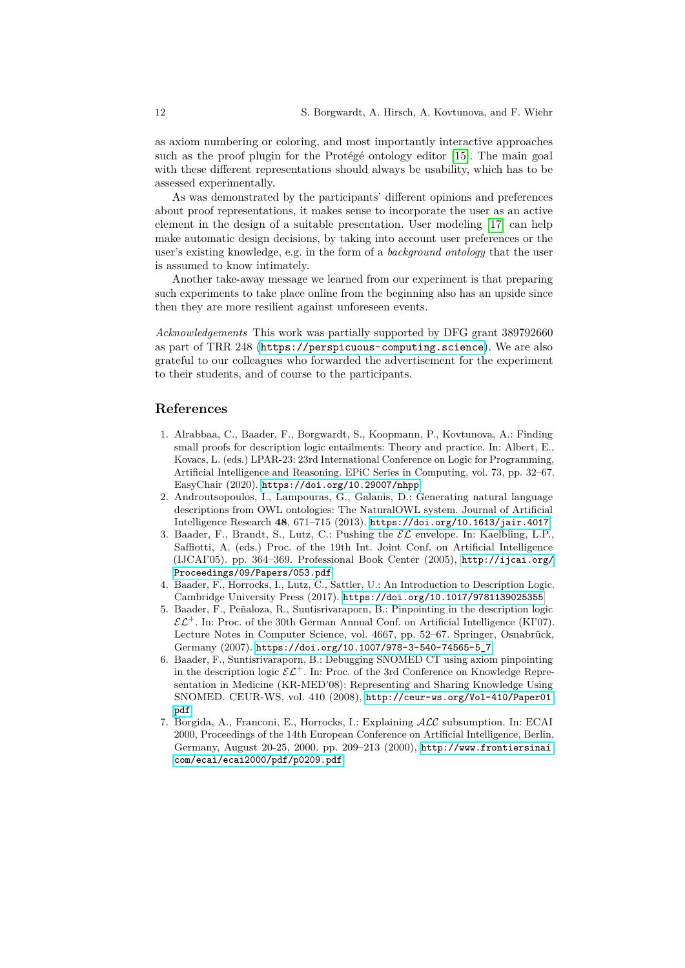as axiom numbering or coloring, and most importantly interactive approaches such as the proof plugin for the Protégé ontology editor [\[15\]](#page-12-2). The main goal with these different representations should always be usability, which has to be assessed experimentally.

As was demonstrated by the participants' different opinions and preferences about proof representations, it makes sense to incorporate the user as an active element in the design of a suitable presentation. User modeling [\[17\]](#page-12-14) can help make automatic design decisions, by taking into account user preferences or the user's existing knowledge, e.g. in the form of a *background ontology* that the user is assumed to know intimately.

Another take-away message we learned from our experiment is that preparing such experiments to take place online from the beginning also has an upside since then they are more resilient against unforeseen events.

*Acknowledgements* This work was partially supported by DFG grant 389792660 as part of TRR 248 (<https://perspicuous-computing.science>). We are also grateful to our colleagues who forwarded the advertisement for the experiment to their students, and of course to the participants.

### **References**

- <span id="page-11-4"></span>1. Alrabbaa, C., Baader, F., Borgwardt, S., Koopmann, P., Kovtunova, A.: Finding small proofs for description logic entailments: Theory and practice. In: Albert, E., Kovacs, L. (eds.) LPAR-23: 23rd International Conference on Logic for Programming, Artificial Intelligence and Reasoning. EPiC Series in Computing, vol. 73, pp. 32–67. EasyChair (2020). <https://doi.org/10.29007/nhpp>
- <span id="page-11-1"></span>2. Androutsopoulos, I., Lampouras, G., Galanis, D.: Generating natural language descriptions from OWL ontologies: The NaturalOWL system. Journal of Artificial Intelligence Research **48**, 671–715 (2013). <https://doi.org/10.1613/jair.4017>
- <span id="page-11-3"></span>3. Baader, F., Brandt, S., Lutz, C.: Pushing the  $\mathcal{EL}$  envelope. In: Kaelbling, L.P., Saffiotti, A. (eds.) Proc. of the 19th Int. Joint Conf. on Artificial Intelligence (IJCAI'05). pp. 364–369. Professional Book Center (2005), [http://ijcai.org/](http://ijcai.org/Proceedings/09/Papers/053.pdf) [Proceedings/09/Papers/053.pdf](http://ijcai.org/Proceedings/09/Papers/053.pdf)
- <span id="page-11-2"></span>4. Baader, F., Horrocks, I., Lutz, C., Sattler, U.: An Introduction to Description Logic. Cambridge University Press (2017). <https://doi.org/10.1017/9781139025355>
- 5. Baader, F., Peñaloza, R., Suntisrivaraporn, B.: Pinpointing in the description logic  $\mathcal{EL}^+$ . In: Proc. of the 30th German Annual Conf. on Artificial Intelligence (KI'07). Lecture Notes in Computer Science, vol. 4667, pp. 52–67. Springer, Osnabrück, Germany (2007). [https://doi.org/10.1007/978-3-540-74565-5\\_7](https://doi.org/10.1007/978-3-540-74565-5_7)
- <span id="page-11-5"></span>6. Baader, F., Suntisrivaraporn, B.: Debugging SNOMED CT using axiom pinpointing in the description logic  $\mathcal{EL}^+$ . In: Proc. of the 3rd Conference on Knowledge Representation in Medicine (KR-MED'08): Representing and Sharing Knowledge Using SNOMED. CEUR-WS, vol. 410 (2008), [http://ceur-ws.org/Vol-410/Paper01.](http://ceur-ws.org/Vol-410/Paper01.pdf) [pdf](http://ceur-ws.org/Vol-410/Paper01.pdf)
- <span id="page-11-0"></span>7. Borgida, A., Franconi, E., Horrocks, I.: Explaining ALC subsumption. In: ECAI 2000, Proceedings of the 14th European Conference on Artificial Intelligence, Berlin, Germany, August 20-25, 2000. pp. 209–213 (2000), [http://www.frontiersinai.](http://www.frontiersinai.com/ecai/ecai2000/pdf/p0209.pdf) [com/ecai/ecai2000/pdf/p0209.pdf](http://www.frontiersinai.com/ecai/ecai2000/pdf/p0209.pdf)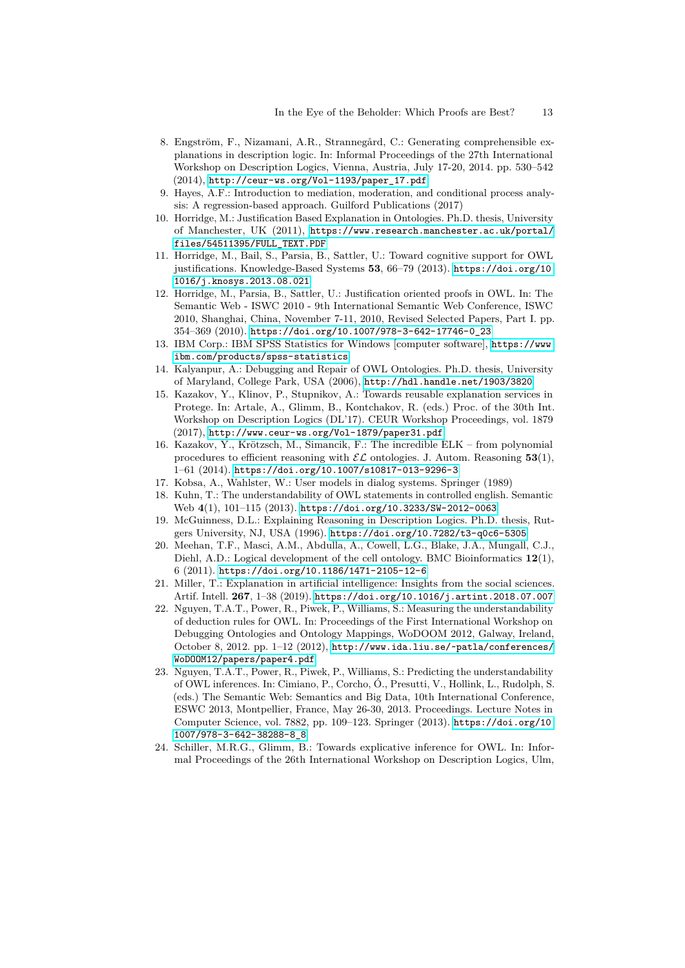- <span id="page-12-5"></span>8. Engström, F., Nizamani, A.R., Strannegård, C.: Generating comprehensible explanations in description logic. In: Informal Proceedings of the 27th International Workshop on Description Logics, Vienna, Austria, July 17-20, 2014. pp. 530–542 (2014), [http://ceur-ws.org/Vol-1193/paper\\_17.pdf](http://ceur-ws.org/Vol-1193/paper_17.pdf)
- <span id="page-12-13"></span>9. Hayes, A.F.: Introduction to mediation, moderation, and conditional process analysis: A regression-based approach. Guilford Publications (2017)
- <span id="page-12-9"></span>10. Horridge, M.: Justification Based Explanation in Ontologies. Ph.D. thesis, University of Manchester, UK (2011), [https://www.research.manchester.ac.uk/portal/](https://www.research.manchester.ac.uk/portal/files/54511395/FULL_TEXT.PDF) [files/54511395/FULL\\_TEXT.PDF](https://www.research.manchester.ac.uk/portal/files/54511395/FULL_TEXT.PDF)
- <span id="page-12-0"></span>11. Horridge, M., Bail, S., Parsia, B., Sattler, U.: Toward cognitive support for OWL justifications. Knowledge-Based Systems **53**, 66–79 (2013). [https://doi.org/10.](https://doi.org/10.1016/j.knosys.2013.08.021) [1016/j.knosys.2013.08.021](https://doi.org/10.1016/j.knosys.2013.08.021)
- <span id="page-12-1"></span>12. Horridge, M., Parsia, B., Sattler, U.: Justification oriented proofs in OWL. In: The Semantic Web - ISWC 2010 - 9th International Semantic Web Conference, ISWC 2010, Shanghai, China, November 7-11, 2010, Revised Selected Papers, Part I. pp. 354–369 (2010). [https://doi.org/10.1007/978-3-642-17746-0\\_23](https://doi.org/10.1007/978-3-642-17746-0_23)
- <span id="page-12-12"></span>13. IBM Corp.: IBM SPSS Statistics for Windows [computer software], [https://www.](https://www.ibm.com/products/spss-statistics) [ibm.com/products/spss-statistics](https://www.ibm.com/products/spss-statistics)
- <span id="page-12-10"></span>14. Kalyanpur, A.: Debugging and Repair of OWL Ontologies. Ph.D. thesis, University of Maryland, College Park, USA (2006), <http://hdl.handle.net/1903/3820>
- <span id="page-12-2"></span>15. Kazakov, Y., Klinov, P., Stupnikov, A.: Towards reusable explanation services in Protege. In: Artale, A., Glimm, B., Kontchakov, R. (eds.) Proc. of the 30th Int. Workshop on Description Logics (DL'17). CEUR Workshop Proceedings, vol. 1879  $(2017)$ , <http://www.ceur-ws.org/Vol-1879/paper31.pdf>
- <span id="page-12-8"></span>16. Kazakov, Y., Krötzsch, M., Simancik, F.: The incredible ELK – from polynomial procedures to efficient reasoning with  $\mathcal{EL}$  ontologies. J. Autom. Reasoning 53(1), 1–61 (2014). <https://doi.org/10.1007/s10817-013-9296-3>
- <span id="page-12-14"></span>17. Kobsa, A., Wahlster, W.: User models in dialog systems. Springer (1989)
- <span id="page-12-6"></span>18. Kuhn, T.: The understandability of OWL statements in controlled english. Semantic Web **4**(1), 101–115 (2013). <https://doi.org/10.3233/SW-2012-0063>
- 19. McGuinness, D.L.: Explaining Reasoning in Description Logics. Ph.D. thesis, Rutgers University, NJ, USA (1996). <https://doi.org/10.7282/t3-q0c6-5305>
- <span id="page-12-11"></span>20. Meehan, T.F., Masci, A.M., Abdulla, A., Cowell, L.G., Blake, J.A., Mungall, C.J., Diehl, A.D.: Logical development of the cell ontology. BMC Bioinformatics **12**(1), 6 (2011). <https://doi.org/10.1186/1471-2105-12-6>
- 21. Miller, T.: Explanation in artificial intelligence: Insights from the social sciences. Artif. Intell. **267**, 1–38 (2019). <https://doi.org/10.1016/j.artint.2018.07.007>
- <span id="page-12-3"></span>22. Nguyen, T.A.T., Power, R., Piwek, P., Williams, S.: Measuring the understandability of deduction rules for OWL. In: Proceedings of the First International Workshop on Debugging Ontologies and Ontology Mappings, WoDOOM 2012, Galway, Ireland, October 8, 2012. pp. 1–12 (2012), [http://www.ida.liu.se/~patla/conferences/](http://www.ida.liu.se/~patla/conferences/WoDOOM12/papers/paper4.pdf) [WoDOOM12/papers/paper4.pdf](http://www.ida.liu.se/~patla/conferences/WoDOOM12/papers/paper4.pdf)
- <span id="page-12-4"></span>23. Nguyen, T.A.T., Power, R., Piwek, P., Williams, S.: Predicting the understandability of OWL inferences. In: Cimiano, P., Corcho, Ó., Presutti, V., Hollink, L., Rudolph, S. (eds.) The Semantic Web: Semantics and Big Data, 10th International Conference, ESWC 2013, Montpellier, France, May 26-30, 2013. Proceedings. Lecture Notes in Computer Science, vol. 7882, pp. 109–123. Springer (2013). [https://doi.org/10.](https://doi.org/10.1007/978-3-642-38288-8_8) [1007/978-3-642-38288-8\\_8](https://doi.org/10.1007/978-3-642-38288-8_8)
- <span id="page-12-7"></span>24. Schiller, M.R.G., Glimm, B.: Towards explicative inference for OWL. In: Informal Proceedings of the 26th International Workshop on Description Logics, Ulm,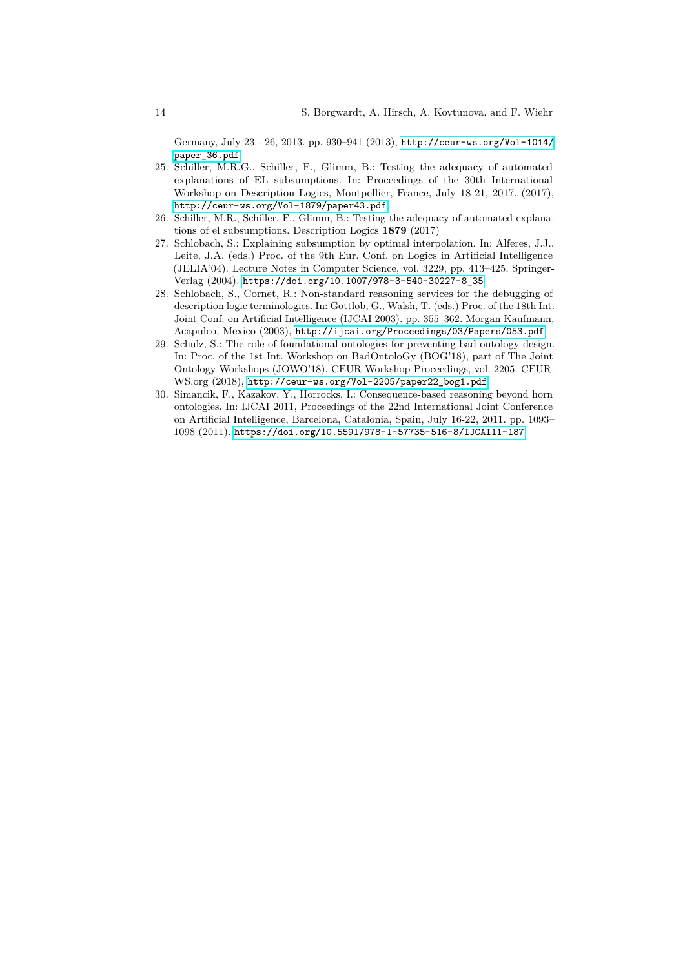Germany, July 23 - 26, 2013. pp. 930–941 (2013), [http://ceur-ws.org/Vol-1014/](http://ceur-ws.org/Vol-1014/paper_36.pdf) [paper\\_36.pdf](http://ceur-ws.org/Vol-1014/paper_36.pdf)

- <span id="page-13-0"></span>25. Schiller, M.R.G., Schiller, F., Glimm, B.: Testing the adequacy of automated explanations of EL subsumptions. In: Proceedings of the 30th International Workshop on Description Logics, Montpellier, France, July 18-21, 2017. (2017), <http://ceur-ws.org/Vol-1879/paper43.pdf>
- <span id="page-13-4"></span>26. Schiller, M.R., Schiller, F., Glimm, B.: Testing the adequacy of automated explanations of el subsumptions. Description Logics **1879** (2017)
- <span id="page-13-2"></span>27. Schlobach, S.: Explaining subsumption by optimal interpolation. In: Alferes, J.J., Leite, J.A. (eds.) Proc. of the 9th Eur. Conf. on Logics in Artificial Intelligence (JELIA'04). Lecture Notes in Computer Science, vol. 3229, pp. 413–425. Springer-Verlag (2004). [https://doi.org/10.1007/978-3-540-30227-8\\_35](https://doi.org/10.1007/978-3-540-30227-8_35)
- 28. Schlobach, S., Cornet, R.: Non-standard reasoning services for the debugging of description logic terminologies. In: Gottlob, G., Walsh, T. (eds.) Proc. of the 18th Int. Joint Conf. on Artificial Intelligence (IJCAI 2003). pp. 355–362. Morgan Kaufmann, Acapulco, Mexico (2003), <http://ijcai.org/Proceedings/03/Papers/053.pdf>
- <span id="page-13-3"></span>29. Schulz, S.: The role of foundational ontologies for preventing bad ontology design. In: Proc. of the 1st Int. Workshop on BadOntoloGy (BOG'18), part of The Joint Ontology Workshops (JOWO'18). CEUR Workshop Proceedings, vol. 2205. CEUR-WS.org (2018), [http://ceur-ws.org/Vol-2205/paper22\\_bog1.pdf](http://ceur-ws.org/Vol-2205/paper22_bog1.pdf)
- <span id="page-13-1"></span>30. Simancik, F., Kazakov, Y., Horrocks, I.: Consequence-based reasoning beyond horn ontologies. In: IJCAI 2011, Proceedings of the 22nd International Joint Conference on Artificial Intelligence, Barcelona, Catalonia, Spain, July 16-22, 2011. pp. 1093– 1098 (2011). <https://doi.org/10.5591/978-1-57735-516-8/IJCAI11-187>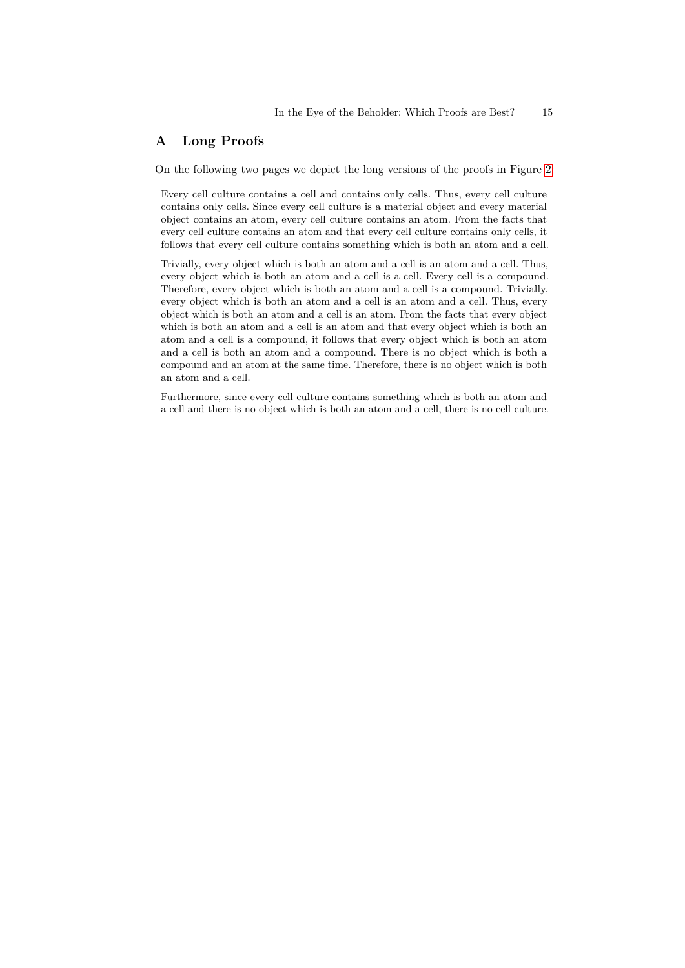## **A Long Proofs**

On the following two pages we depict the long versions of the proofs in Figure [2:](#page-5-0)

Every cell culture contains a cell and contains only cells. Thus, every cell culture contains only cells. Since every cell culture is a material object and every material object contains an atom, every cell culture contains an atom. From the facts that every cell culture contains an atom and that every cell culture contains only cells, it follows that every cell culture contains something which is both an atom and a cell.

Trivially, every object which is both an atom and a cell is an atom and a cell. Thus, every object which is both an atom and a cell is a cell. Every cell is a compound. Therefore, every object which is both an atom and a cell is a compound. Trivially, every object which is both an atom and a cell is an atom and a cell. Thus, every object which is both an atom and a cell is an atom. From the facts that every object which is both an atom and a cell is an atom and that every object which is both an atom and a cell is a compound, it follows that every object which is both an atom and a cell is both an atom and a compound. There is no object which is both a compound and an atom at the same time. Therefore, there is no object which is both an atom and a cell.

Furthermore, since every cell culture contains something which is both an atom and a cell and there is no object which is both an atom and a cell, there is no cell culture.